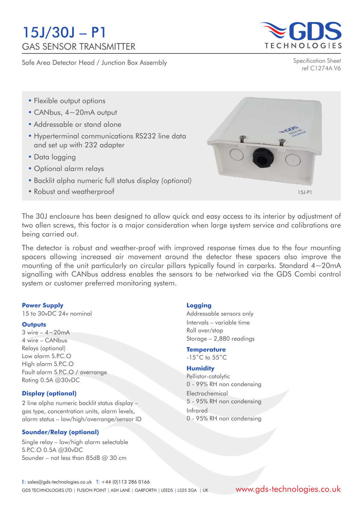# 15J/30J – P1 GAS SENSOR TRANSMITTER

Safe Area Detector Head / Junction Box Assembly



Specification Sheet ref C1274A V6

- Flexible output options
- CANbus, 4~20mA output
- Addressable or stand alone
- Hyperterminal communications RS232 line data and set up with 232 adapter
- Data logging
- Optional alarm relays
- Backlit alpha numeric full status display *(optional)*
- Robust and weatherproof



The 30J enclosure has been designed to allow quick and easy access to its interior by adjustment of two allen screws, this factor is a major consideration when large system service and calibrations are being carried out.

The detector is robust and weather-proof with improved response times due to the four mounting spacers allowing increased air movement around the detector these spacers also improve the mounting of the unit particularly on circular pillars typically found in carparks. Standard 4~20mA signalling with CANbus address enables the sensors to be networked via the GDS Combi control system or customer preferred monitoring system.

#### **Power Supply**

15 to 30vDC 24v nominal

#### **Outputs**

 $3$  wire  $-4$  ~ 20mA 4 wire – CANbus Relays (optional) Low alarm S.P.C.O High alarm S.P.C.O Fault alarm S.P.C.O / overrange Rating 0.5A @30vDC

## **Display (optional)**

2 line alpha numeric backlit status display – gas type, concentration units, alarm levels, alarm status – low/high/overrange/sensor ID

## **Sounder/Relay (optional)**

Single relay – low/high alarm selectable S.P.C.O 0.5A @30vDC Sounder – not less than 85dB @ 30 cm

#### **Logging**

Addressable sensors only Intervals – variable time Roll over/stop Storage – 2,880 readings

#### **Temperature**

-15˚C to 55˚C

#### **Humidity**

Pellistor-catalytic 0 - 99% RH non condensing Electrochemical 5 - 95% RH non condensing Infrared 0 - 95% RH non condensing